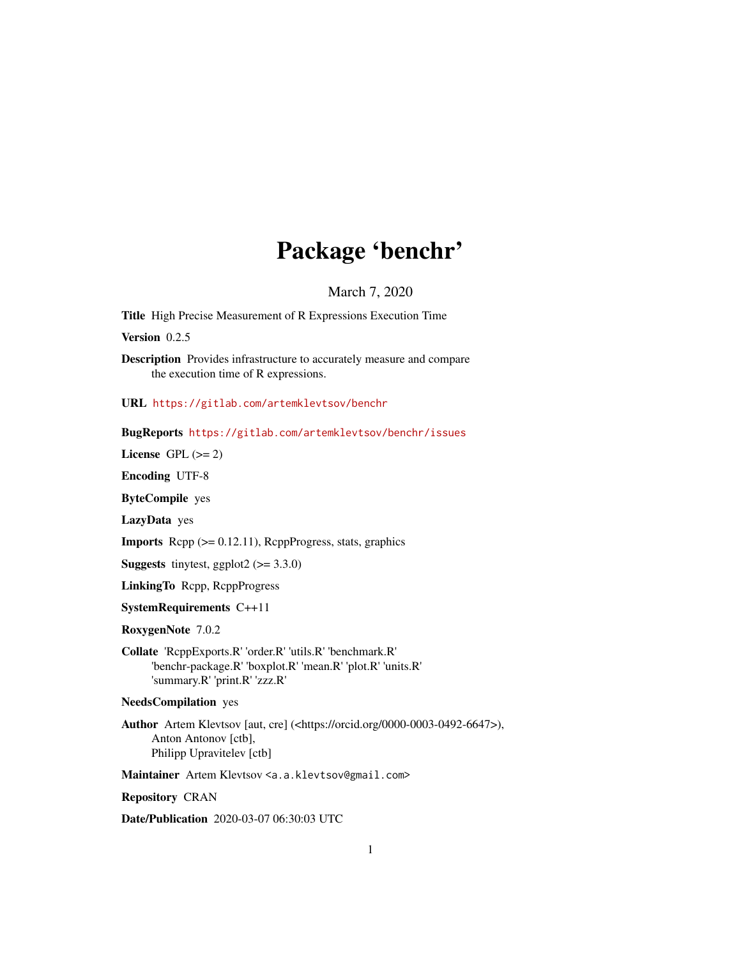# Package 'benchr'

March 7, 2020

<span id="page-0-0"></span>Title High Precise Measurement of R Expressions Execution Time

Version 0.2.5

Description Provides infrastructure to accurately measure and compare the execution time of R expressions.

URL <https://gitlab.com/artemklevtsov/benchr>

BugReports <https://gitlab.com/artemklevtsov/benchr/issues>

License GPL  $(>= 2)$ 

Encoding UTF-8

ByteCompile yes

LazyData yes

**Imports** Rcpp  $(>= 0.12.11)$ , RcppProgress, stats, graphics

**Suggests** tinytest, ggplot2  $(>= 3.3.0)$ 

LinkingTo Rcpp, RcppProgress

SystemRequirements C++11

RoxygenNote 7.0.2

Collate 'RcppExports.R' 'order.R' 'utils.R' 'benchmark.R' 'benchr-package.R' 'boxplot.R' 'mean.R' 'plot.R' 'units.R' 'summary.R' 'print.R' 'zzz.R'

NeedsCompilation yes

Author Artem Klevtsov [aut, cre] (<https://orcid.org/0000-0003-0492-6647>), Anton Antonov [ctb], Philipp Upravitelev [ctb]

Maintainer Artem Klevtsov <a.a.klevtsov@gmail.com>

Repository CRAN

Date/Publication 2020-03-07 06:30:03 UTC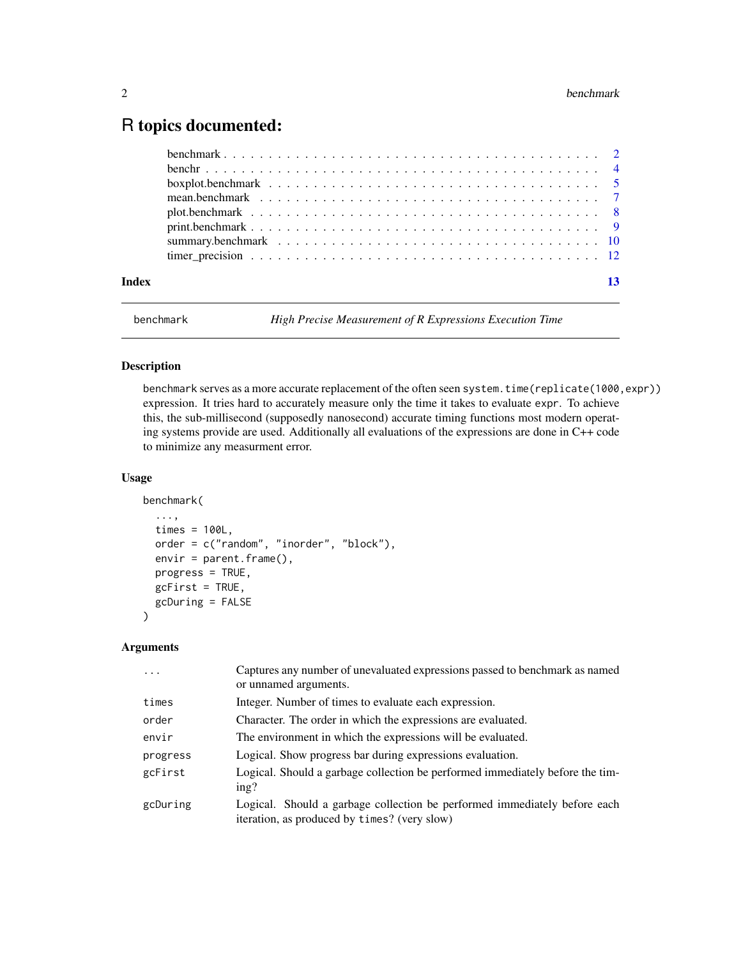# <span id="page-1-0"></span>R topics documented:

| Index | 13 |  |
|-------|----|--|

<span id="page-1-1"></span>benchmark *High Precise Measurement of R Expressions Execution Time*

# Description

benchmark serves as a more accurate replacement of the often seen system.time(replicate(1000,expr)) expression. It tries hard to accurately measure only the time it takes to evaluate expr. To achieve this, the sub-millisecond (supposedly nanosecond) accurate timing functions most modern operating systems provide are used. Additionally all evaluations of the expressions are done in C++ code to minimize any measurment error.

#### Usage

```
benchmark(
  ...,
  times = 100L,
  order = c("random", "inorder", "block"),
  envir = parent.frame(),
 progress = TRUE,
  gcFirst = TRUE,
  gcDuring = FALSE
)
```
#### Arguments

| $\ddots$ | Captures any number of unevaluated expressions passed to benchmark as named<br>or unnamed arguments.                      |
|----------|---------------------------------------------------------------------------------------------------------------------------|
| times    | Integer. Number of times to evaluate each expression.                                                                     |
| order    | Character. The order in which the expressions are evaluated.                                                              |
| envir    | The environment in which the expressions will be evaluated.                                                               |
| progress | Logical. Show progress bar during expressions evaluation.                                                                 |
| gcFirst  | Logical. Should a garbage collection be performed immediately before the tim-<br>ing?                                     |
| gcDuring | Logical. Should a garbage collection be performed immediately before each<br>iteration, as produced by times? (very slow) |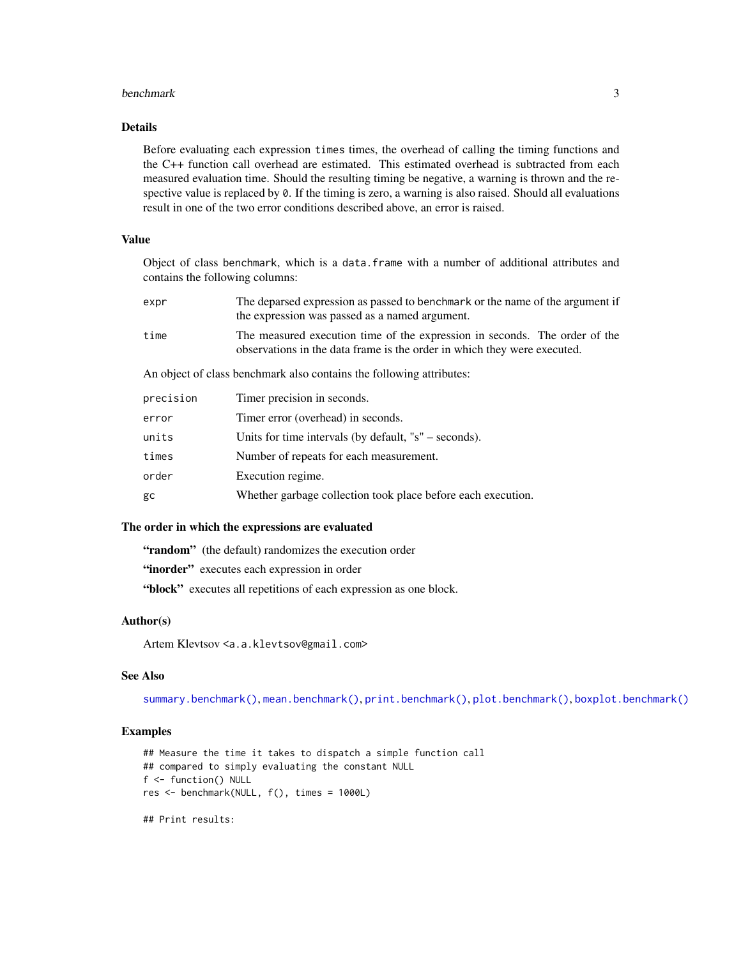#### <span id="page-2-0"></span>benchmark 3

#### Details

Before evaluating each expression times times, the overhead of calling the timing functions and the C++ function call overhead are estimated. This estimated overhead is subtracted from each measured evaluation time. Should the resulting timing be negative, a warning is thrown and the respective value is replaced by 0. If the timing is zero, a warning is also raised. Should all evaluations result in one of the two error conditions described above, an error is raised.

#### Value

Object of class benchmark, which is a data.frame with a number of additional attributes and contains the following columns:

| expr                                                                 | The deparsed expression as passed to benchmark or the name of the argument if<br>the expression was passed as a named argument.                        |
|----------------------------------------------------------------------|--------------------------------------------------------------------------------------------------------------------------------------------------------|
| time                                                                 | The measured execution time of the expression in seconds. The order of the<br>observations in the data frame is the order in which they were executed. |
| An object of class benchmark also contains the following attributes: |                                                                                                                                                        |
| precision                                                            | Timer precision in seconds.                                                                                                                            |
| error                                                                | Timer error (overhead) in seconds.                                                                                                                     |
| units                                                                | Units for time intervals (by default, $'s''$ – seconds).                                                                                               |
| times                                                                | Number of repeats for each measurement.                                                                                                                |
| order                                                                | Execution regime.                                                                                                                                      |
| gc                                                                   | Whether garbage collection took place before each execution.                                                                                           |
|                                                                      |                                                                                                                                                        |

# The order in which the expressions are evaluated

"random" (the default) randomizes the execution order

"inorder" executes each expression in order

"block" executes all repetitions of each expression as one block.

#### Author(s)

Artem Klevtsov <a.a.klevtsov@gmail.com>

#### See Also

[summary.benchmark\(\)](#page-9-1), [mean.benchmark\(\)](#page-6-1), [print.benchmark\(\)](#page-8-1), [plot.benchmark\(\)](#page-7-1), [boxplot.benchmark\(\)](#page-4-1)

#### Examples

```
## Measure the time it takes to dispatch a simple function call
## compared to simply evaluating the constant NULL
f <- function() NULL
res <- benchmark(NULL, f(), times = 1000L)
## Print results:
```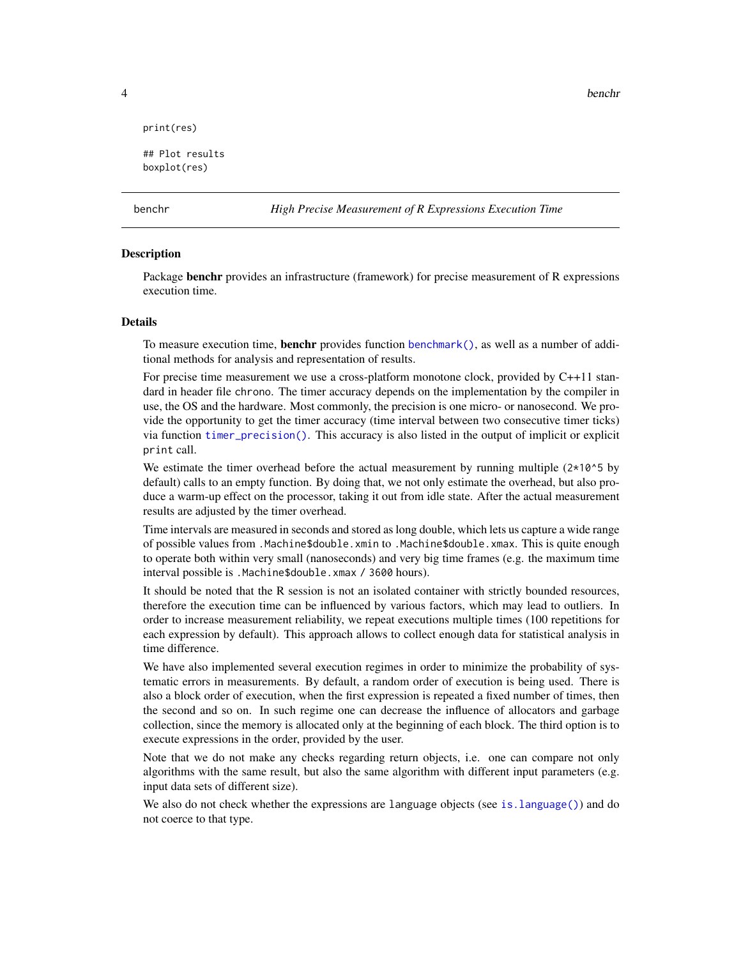4 benchr

```
print(res)
```

```
## Plot results
boxplot(res)
```
benchr *High Precise Measurement of R Expressions Execution Time*

#### Description

Package **benchr** provides an infrastructure (framework) for precise measurement of R expressions execution time.

#### Details

To measure execution time, **benchr** provides function [benchmark\(\)](#page-1-1), as well as a number of additional methods for analysis and representation of results.

For precise time measurement we use a cross-platform monotone clock, provided by C++11 standard in header file chrono. The timer accuracy depends on the implementation by the compiler in use, the OS and the hardware. Most commonly, the precision is one micro- or nanosecond. We provide the opportunity to get the timer accuracy (time interval between two consecutive timer ticks) via function [timer\\_precision\(\)](#page-11-1). This accuracy is also listed in the output of implicit or explicit print call.

We estimate the timer overhead before the actual measurement by running multiple  $(2*10^5$  by default) calls to an empty function. By doing that, we not only estimate the overhead, but also produce a warm-up effect on the processor, taking it out from idle state. After the actual measurement results are adjusted by the timer overhead.

Time intervals are measured in seconds and stored as long double, which lets us capture a wide range of possible values from .Machine\$double.xmin to .Machine\$double.xmax. This is quite enough to operate both within very small (nanoseconds) and very big time frames (e.g. the maximum time interval possible is .Machine\$double.xmax / 3600 hours).

It should be noted that the R session is not an isolated container with strictly bounded resources, therefore the execution time can be influenced by various factors, which may lead to outliers. In order to increase measurement reliability, we repeat executions multiple times (100 repetitions for each expression by default). This approach allows to collect enough data for statistical analysis in time difference.

We have also implemented several execution regimes in order to minimize the probability of systematic errors in measurements. By default, a random order of execution is being used. There is also a block order of execution, when the first expression is repeated a fixed number of times, then the second and so on. In such regime one can decrease the influence of allocators and garbage collection, since the memory is allocated only at the beginning of each block. The third option is to execute expressions in the order, provided by the user.

Note that we do not make any checks regarding return objects, i.e. one can compare not only algorithms with the same result, but also the same algorithm with different input parameters (e.g. input data sets of different size).

We also do not check whether the expressions are language objects (see [is.language\(\)](#page-0-0)) and do not coerce to that type.

<span id="page-3-0"></span>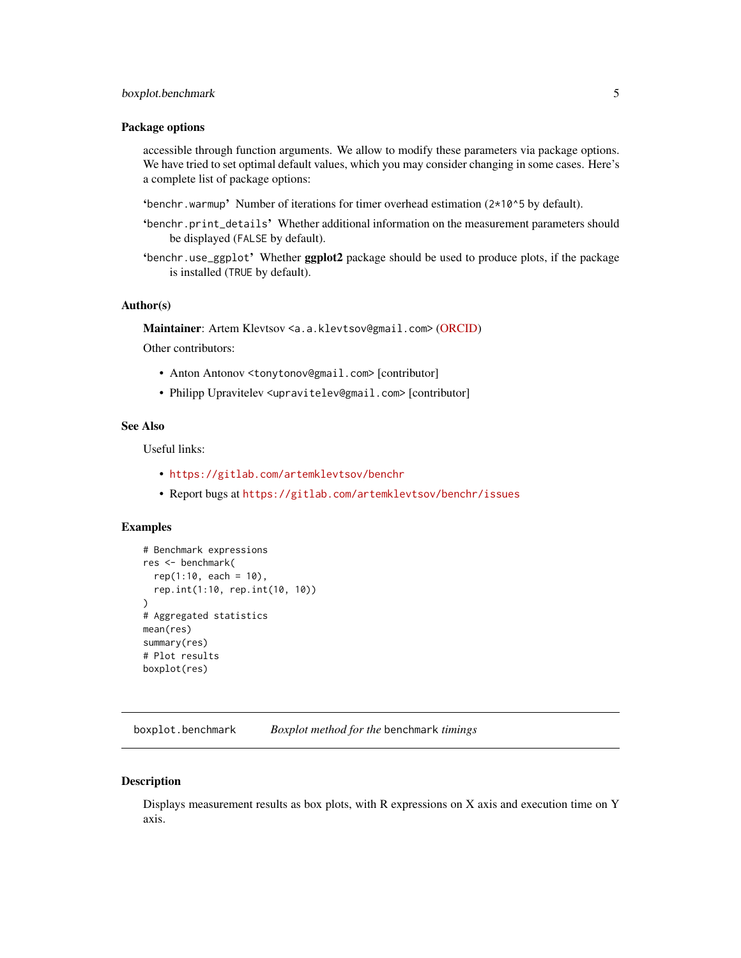#### <span id="page-4-0"></span>boxplot.benchmark 5

#### Package options

accessible through function arguments. We allow to modify these parameters via package options. We have tried to set optimal default values, which you may consider changing in some cases. Here's a complete list of package options:

- 'benchr.warmup' Number of iterations for timer overhead estimation  $(2*10^5$  by default).
- 'benchr.print\_details' Whether additional information on the measurement parameters should be displayed (FALSE by default).
- 'benchr.use\_ggplot' Whether ggplot2 package should be used to produce plots, if the package is installed (TRUE by default).

#### Author(s)

Maintainer: Artem Klevtsov <a.a.klevtsov@gmail.com> [\(ORCID\)](https://orcid.org/0000-0003-0492-6647)

Other contributors:

- Anton Antonov <tonytonov@gmail.com> [contributor]
- Philipp Upravitelev <upravitelev@gmail.com> [contributor]

# See Also

Useful links:

- <https://gitlab.com/artemklevtsov/benchr>
- Report bugs at <https://gitlab.com/artemklevtsov/benchr/issues>

#### Examples

```
# Benchmark expressions
res <- benchmark(
  rep(1:10, each = 10),
  rep.int(1:10, rep.int(10, 10))
)
# Aggregated statistics
mean(res)
summary(res)
# Plot results
boxplot(res)
```
<span id="page-4-1"></span>boxplot.benchmark *Boxplot method for the* benchmark *timings*

#### **Description**

Displays measurement results as box plots, with R expressions on X axis and execution time on Y axis.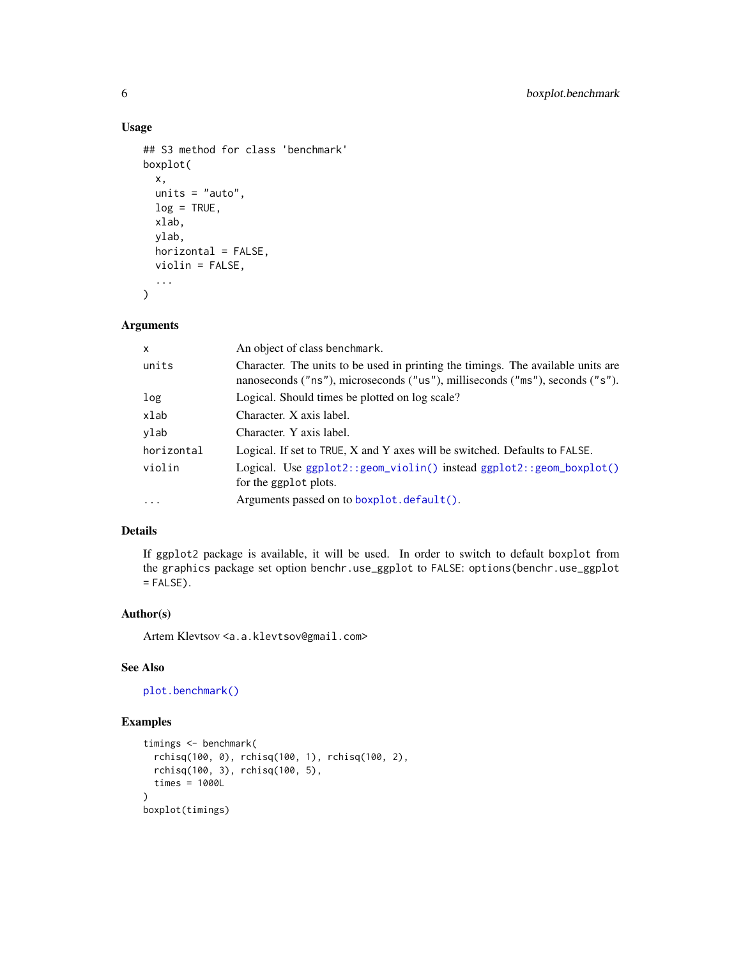### Usage

```
## S3 method for class 'benchmark'
boxplot(
  x,
 units = "auto",
  log = TRUE,xlab,
 ylab,
 horizontal = FALSE,
 violin = FALSE,
  ...
)
```
## Arguments

| x          | An object of class benchmark.                                                                                                                                    |
|------------|------------------------------------------------------------------------------------------------------------------------------------------------------------------|
| units      | Character. The units to be used in printing the timings. The available units are<br>nanoseconds ("ns"), microseconds ("us"), milliseconds ("ms"), seconds ("s"). |
| log        | Logical. Should times be plotted on log scale?                                                                                                                   |
| xlab       | Character. X axis label.                                                                                                                                         |
| ylab       | Character. Y axis label.                                                                                                                                         |
| horizontal | Logical. If set to TRUE, X and Y axes will be switched. Defaults to FALSE.                                                                                       |
| violin     | Logical. Use $ggplot2::geom\_violin()$ instead $ggplot2::geom_boxplot()$<br>for the ggplot plots.                                                                |
| $\cdots$   | Arguments passed on to boxplot.default().                                                                                                                        |

#### Details

If ggplot2 package is available, it will be used. In order to switch to default boxplot from the graphics package set option benchr.use\_ggplot to FALSE: options(benchr.use\_ggplot  $=$  FALSE).

#### Author(s)

Artem Klevtsov <a.a.klevtsov@gmail.com>

### See Also

[plot.benchmark\(\)](#page-7-1)

#### Examples

```
timings <- benchmark(
  rchisq(100, 0), rchisq(100, 1), rchisq(100, 2),
  rchisq(100, 3), rchisq(100, 5),
  times = 1000L
)
boxplot(timings)
```
<span id="page-5-0"></span>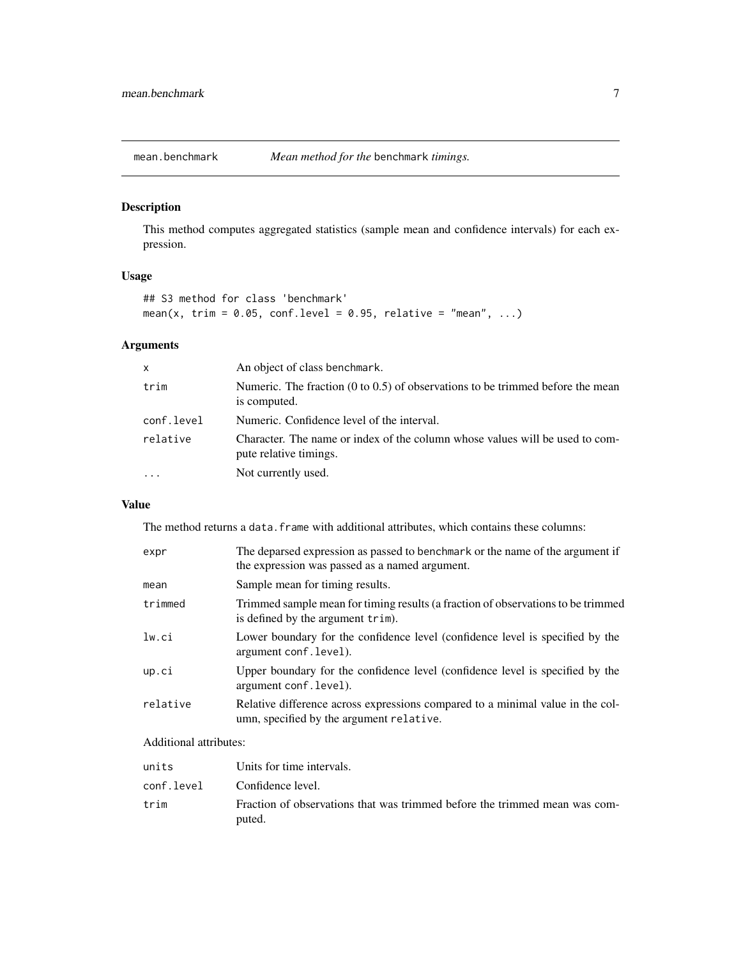<span id="page-6-1"></span><span id="page-6-0"></span>

# Description

This method computes aggregated statistics (sample mean and confidence intervals) for each expression.

### Usage

```
## S3 method for class 'benchmark'
mean(x, trim = 0.05, conf.level = 0.95, relative = "mean", ...)
```
### Arguments

| X          | An object of class benchmark.                                                                             |
|------------|-----------------------------------------------------------------------------------------------------------|
| trim       | Numeric. The fraction $(0 \text{ to } 0.5)$ of observations to be trimmed before the mean<br>is computed. |
| conf.level | Numeric. Confidence level of the interval.                                                                |
| relative   | Character. The name or index of the column whose values will be used to com-<br>pute relative timings.    |
| $\cdots$   | Not currently used.                                                                                       |

#### Value

The method returns a data. frame with additional attributes, which contains these columns:

| expr     | The deparsed expression as passed to benchmark or the name of the argument if<br>the expression was passed as a named argument. |
|----------|---------------------------------------------------------------------------------------------------------------------------------|
| mean     | Sample mean for timing results.                                                                                                 |
| trimmed  | Trimmed sample mean for timing results (a fraction of observations to be trimmed<br>is defined by the argument trim).           |
| lw.ci    | Lower boundary for the confidence level (confidence level is specified by the<br>argument conf.level).                          |
| up.ci    | Upper boundary for the confidence level (confidence level is specified by the<br>argument conf. level).                         |
| relative | Relative difference across expressions compared to a minimal value in the col-<br>umn, specified by the argument relative.      |

### Additional attributes:

| units      | Units for time intervals.                                                            |
|------------|--------------------------------------------------------------------------------------|
| conf.level | Confidence level.                                                                    |
| trim       | Fraction of observations that was trimmed before the trimmed mean was com-<br>puted. |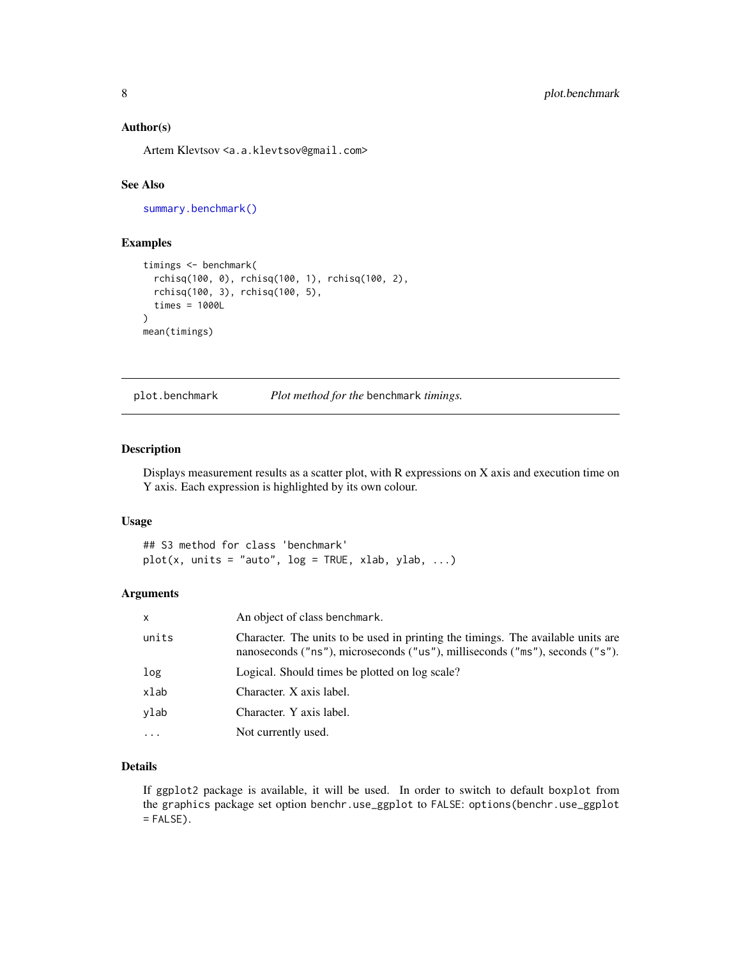#### <span id="page-7-0"></span>Author(s)

Artem Klevtsov <a.a.klevtsov@gmail.com>

#### See Also

[summary.benchmark\(\)](#page-9-1)

#### Examples

```
timings <- benchmark(
  rchisq(100, 0), rchisq(100, 1), rchisq(100, 2),
  rchisq(100, 3), rchisq(100, 5),
  times = 1000L
)
mean(timings)
```
<span id="page-7-1"></span>

plot.benchmark *Plot method for the* benchmark *timings.*

#### Description

Displays measurement results as a scatter plot, with R expressions on X axis and execution time on Y axis. Each expression is highlighted by its own colour.

#### Usage

## S3 method for class 'benchmark'  $plot(x, units = "auto", log = TRUE, xlab, ylab, ...)$ 

#### Arguments

| x        | An object of class benchmark.                                                                                                                                    |
|----------|------------------------------------------------------------------------------------------------------------------------------------------------------------------|
| units    | Character. The units to be used in printing the timings. The available units are<br>nanoseconds ("ns"), microseconds ("us"), milliseconds ("ms"), seconds ("s"). |
| log      | Logical. Should times be plotted on log scale?                                                                                                                   |
| xlab     | Character. X axis label.                                                                                                                                         |
| vlab     | Character. Y axis label.                                                                                                                                         |
| $\cdots$ | Not currently used.                                                                                                                                              |

#### Details

If ggplot2 package is available, it will be used. In order to switch to default boxplot from the graphics package set option benchr.use\_ggplot to FALSE: options(benchr.use\_ggplot  $=$  FALSE $)$ .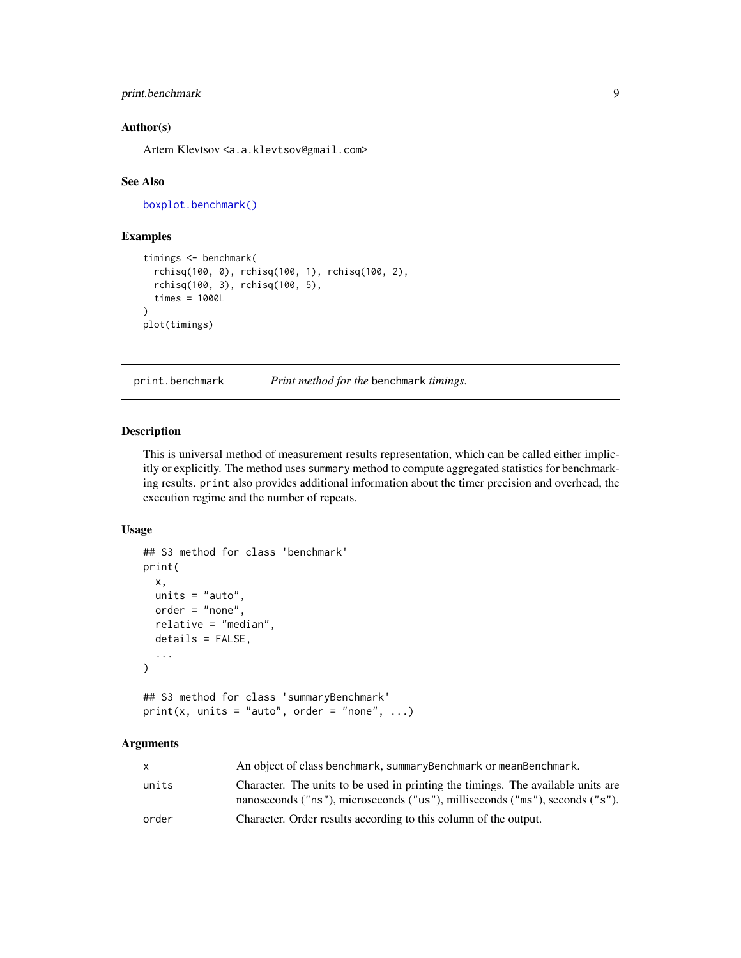#### <span id="page-8-0"></span>print.benchmark 9

#### Author(s)

Artem Klevtsov <a.a.klevtsov@gmail.com>

#### See Also

[boxplot.benchmark\(\)](#page-4-1)

#### Examples

```
timings <- benchmark(
  rchisq(100, 0), rchisq(100, 1), rchisq(100, 2),
  rchisq(100, 3), rchisq(100, 5),
  times = 1000L
)
plot(timings)
```
<span id="page-8-1"></span>

print.benchmark *Print method for the* benchmark *timings.*

#### Description

This is universal method of measurement results representation, which can be called either implicitly or explicitly. The method uses summary method to compute aggregated statistics for benchmarking results. print also provides additional information about the timer precision and overhead, the execution regime and the number of repeats.

#### Usage

```
## S3 method for class 'benchmark'
print(
 x,
 units = "auto",
 order = "none",
  relative = "median",
 details = FALSE,
  ...
)
## S3 method for class 'summaryBenchmark'
print(x, units = "auto", order = "none", \ldots)
```
#### Arguments

| x.    | An object of class benchmark, summaryBenchmark or meanBenchmark.                                                                                                 |
|-------|------------------------------------------------------------------------------------------------------------------------------------------------------------------|
| units | Character. The units to be used in printing the timings. The available units are<br>nanoseconds ("ns"), microseconds ("us"), milliseconds ("ms"), seconds ("s"). |
| order | Character. Order results according to this column of the output.                                                                                                 |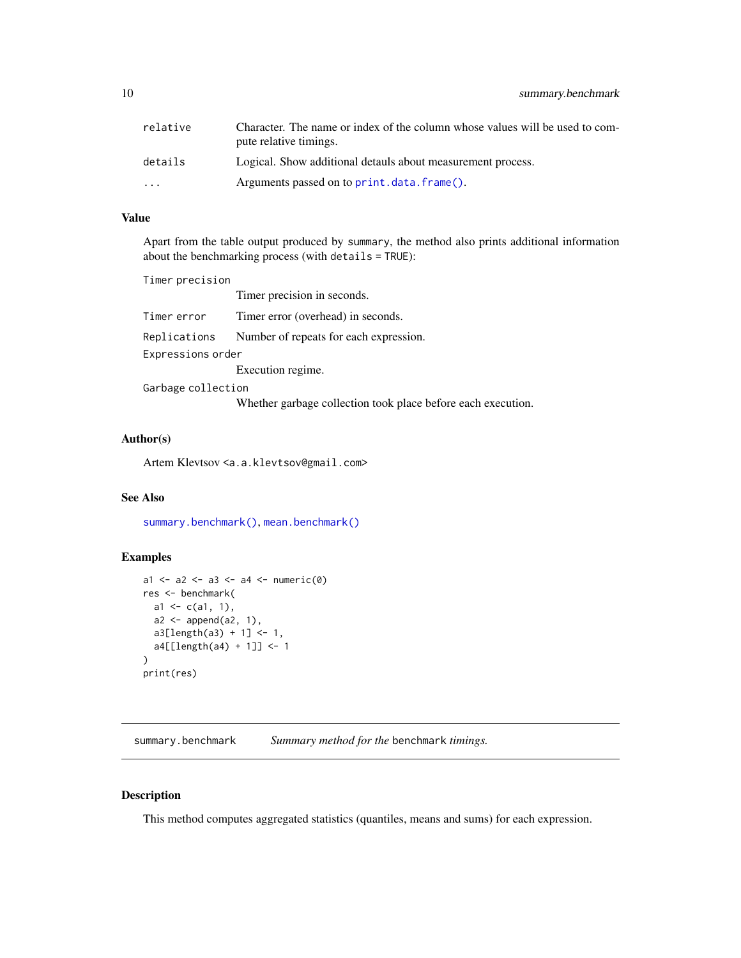<span id="page-9-0"></span>10 summary.benchmark

| relative  | Character. The name or index of the column whose values will be used to com-<br>pute relative timings. |
|-----------|--------------------------------------------------------------------------------------------------------|
| details   | Logical. Show additional detauls about measurement process.                                            |
| $\ddotsc$ | Arguments passed on to print.data.frame().                                                             |

#### Value

Apart from the table output produced by summary, the method also prints additional information about the benchmarking process (with details = TRUE):

Timer precision Timer precision in seconds. Timer error Timer error (overhead) in seconds. Replications Number of repeats for each expression. Expressions order Execution regime. Garbage collection

Whether garbage collection took place before each execution.

#### Author(s)

Artem Klevtsov <a.a.klevtsov@gmail.com>

# See Also

[summary.benchmark\(\)](#page-9-1), [mean.benchmark\(\)](#page-6-1)

#### Examples

```
a1 <- a2 <- a3 <- a4 <- numeric(0)res <- benchmark(
  a1 \leftarrow c(a1, 1),a2 \leftarrow append(a2, 1),
  a3[length(a3) + 1] < -1,
  a4[[length(a4) + 1]] <- 1
)
print(res)
```
<span id="page-9-1"></span>summary.benchmark *Summary method for the* benchmark *timings.*

#### Description

This method computes aggregated statistics (quantiles, means and sums) for each expression.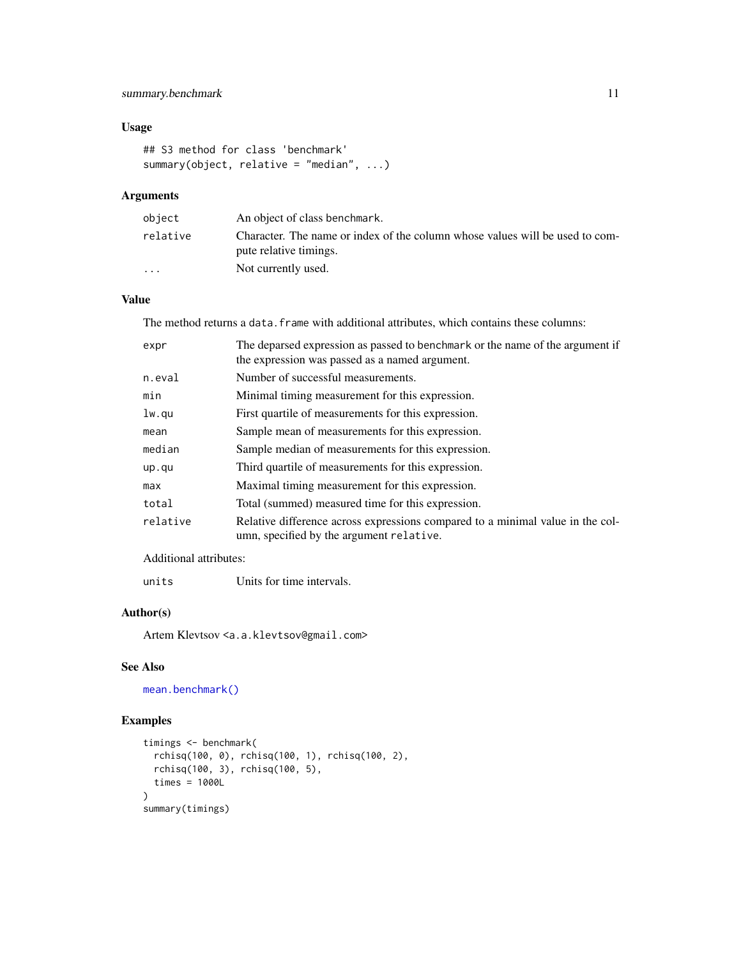### <span id="page-10-0"></span>summary.benchmark 11

#### Usage

```
## S3 method for class 'benchmark'
summary(object, relative = "median", ...)
```
### Arguments

| object                  | An object of class benchmark.                                                                          |
|-------------------------|--------------------------------------------------------------------------------------------------------|
| relative                | Character. The name or index of the column whose values will be used to com-<br>pute relative timings. |
| $\cdot$ $\cdot$ $\cdot$ | Not currently used.                                                                                    |

### Value

The method returns a data. frame with additional attributes, which contains these columns:

| expr     | The deparsed expression as passed to benchmark or the name of the argument if<br>the expression was passed as a named argument. |
|----------|---------------------------------------------------------------------------------------------------------------------------------|
| n.eval   | Number of successful measurements.                                                                                              |
| min      | Minimal timing measurement for this expression.                                                                                 |
| lw.qu    | First quartile of measurements for this expression.                                                                             |
| mean     | Sample mean of measurements for this expression.                                                                                |
| median   | Sample median of measurements for this expression.                                                                              |
| up.qu    | Third quartile of measurements for this expression.                                                                             |
| max      | Maximal timing measurement for this expression.                                                                                 |
| total    | Total (summed) measured time for this expression.                                                                               |
| relative | Relative difference across expressions compared to a minimal value in the col-<br>umn, specified by the argument relative.      |

# Additional attributes:

# Author(s)

Artem Klevtsov <a.a.klevtsov@gmail.com>

# See Also

[mean.benchmark\(\)](#page-6-1)

#### Examples

```
timings <- benchmark(
  rchisq(100, 0), rchisq(100, 1), rchisq(100, 2),
  rchisq(100, 3), rchisq(100, 5),
  times = 1000L
\lambdasummary(timings)
```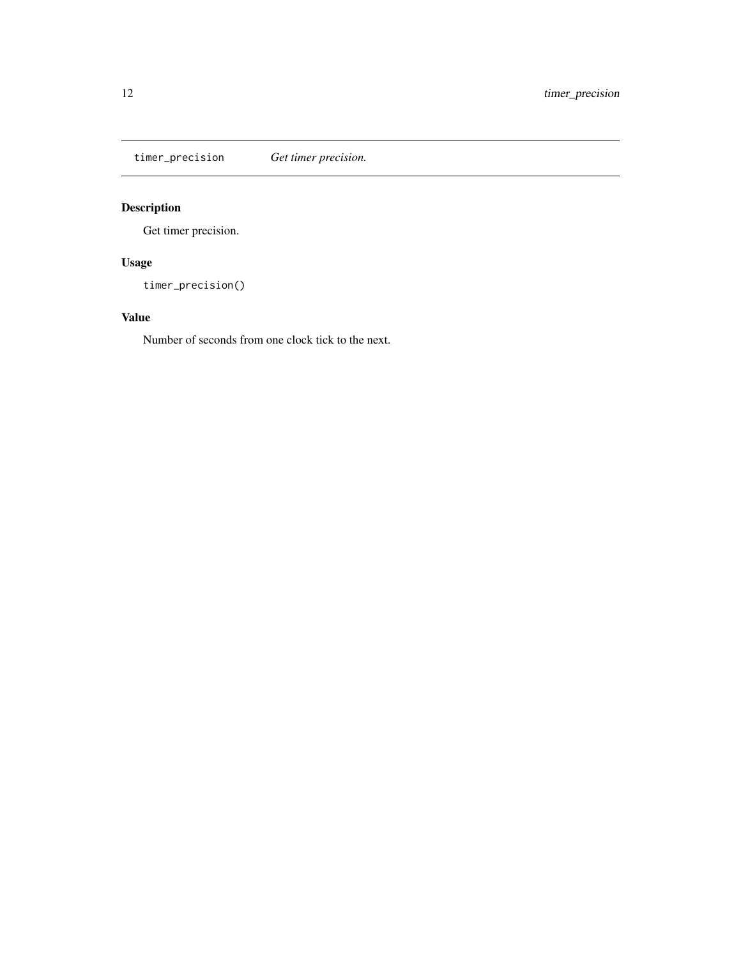<span id="page-11-1"></span><span id="page-11-0"></span>timer\_precision *Get timer precision.*

# Description

Get timer precision.

# Usage

timer\_precision()

# Value

Number of seconds from one clock tick to the next.